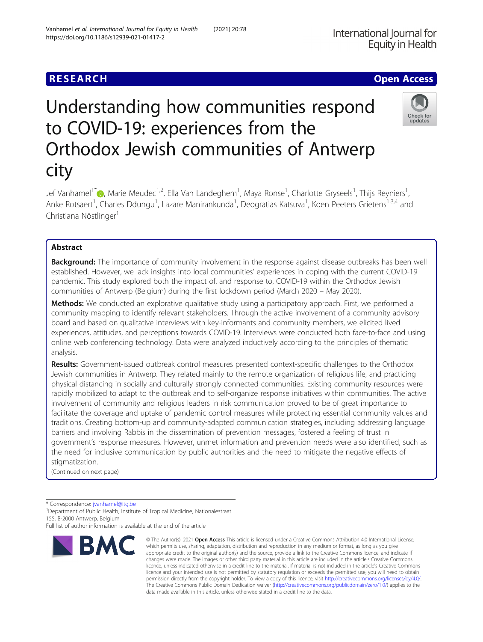# Understanding how communities respond to COVID-19: experiences from the Orthodox Jewish communities of Antwerp city

Jef Vanhamel<sup>1[\\*](http://orcid.org/0000-0003-0020-1876)</sup> (D, Marie Meudec<sup>1,2</sup>, Ella Van Landeghem<sup>1</sup>, Maya Ronse<sup>1</sup>, Charlotte Gryseels<sup>1</sup>, Thijs Reyniers<sup>1</sup> , Anke Rotsaert<sup>1</sup>, Charles Ddungu<sup>1</sup>, Lazare Manirankunda<sup>1</sup>, Deogratias Katsuva<sup>1</sup>, Koen Peeters Grietens<sup>1,3,4</sup> and Christiana Nöstlinger<sup>1</sup>

# Abstract

**Background:** The importance of community involvement in the response against disease outbreaks has been well established. However, we lack insights into local communities' experiences in coping with the current COVID-19 pandemic. This study explored both the impact of, and response to, COVID-19 within the Orthodox Jewish communities of Antwerp (Belgium) during the first lockdown period (March 2020 – May 2020).

Methods: We conducted an explorative qualitative study using a participatory approach. First, we performed a community mapping to identify relevant stakeholders. Through the active involvement of a community advisory board and based on qualitative interviews with key-informants and community members, we elicited lived experiences, attitudes, and perceptions towards COVID-19. Interviews were conducted both face-to-face and using online web conferencing technology. Data were analyzed inductively according to the principles of thematic analysis.

Results: Government-issued outbreak control measures presented context-specific challenges to the Orthodox Jewish communities in Antwerp. They related mainly to the remote organization of religious life, and practicing physical distancing in socially and culturally strongly connected communities. Existing community resources were rapidly mobilized to adapt to the outbreak and to self-organize response initiatives within communities. The active involvement of community and religious leaders in risk communication proved to be of great importance to facilitate the coverage and uptake of pandemic control measures while protecting essential community values and traditions. Creating bottom-up and community-adapted communication strategies, including addressing language barriers and involving Rabbis in the dissemination of prevention messages, fostered a feeling of trust in government's response measures. However, unmet information and prevention needs were also identified, such as the need for inclusive communication by public authorities and the need to mitigate the negative effects of stigmatization.

(Continued on next page)

\* Correspondence: [jvanhamel@itg.be](mailto:jvanhamel@itg.be) <sup>1</sup>

<sup>1</sup>Department of Public Health, Institute of Tropical Medicine, Nationalestraat 155, B-2000 Antwerp, Belgium

**BMC** 



© The Author(s), 2021 **Open Access** This article is licensed under a Creative Commons Attribution 4.0 International License, which permits use, sharing, adaptation, distribution and reproduction in any medium or format, as long as you give





**RESEARCH CHE Open Access** 

Full list of author information is available at the end of the article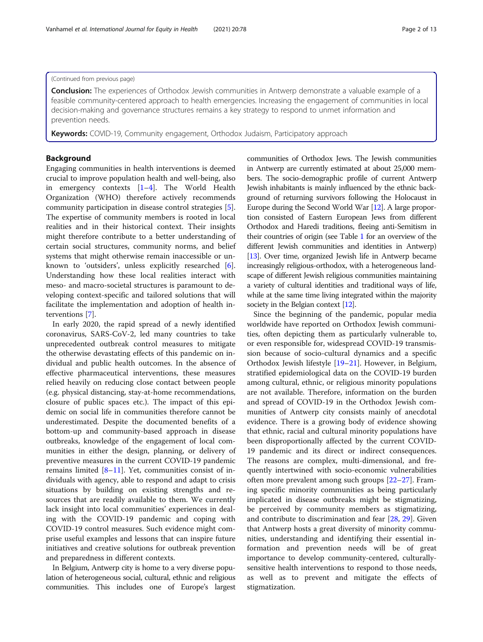# (Continued from previous page)

**Conclusion:** The experiences of Orthodox Jewish communities in Antwerp demonstrate a valuable example of a feasible community-centered approach to health emergencies. Increasing the engagement of communities in local decision-making and governance structures remains a key strategy to respond to unmet information and prevention needs.

Keywords: COVID-19, Community engagement, Orthodox Judaism, Participatory approach

# Background

Engaging communities in health interventions is deemed crucial to improve population health and well-being, also in emergency contexts [[1](#page-11-0)–[4](#page-11-0)]. The World Health Organization (WHO) therefore actively recommends community participation in disease control strategies [\[5](#page-11-0)]. The expertise of community members is rooted in local realities and in their historical context. Their insights might therefore contribute to a better understanding of certain social structures, community norms, and belief systems that might otherwise remain inaccessible or unknown to 'outsiders', unless explicitly researched [\[6](#page-11-0)]. Understanding how these local realities interact with meso- and macro-societal structures is paramount to developing context-specific and tailored solutions that will facilitate the implementation and adoption of health interventions [\[7](#page-11-0)].

In early 2020, the rapid spread of a newly identified coronavirus, SARS-CoV-2, led many countries to take unprecedented outbreak control measures to mitigate the otherwise devastating effects of this pandemic on individual and public health outcomes. In the absence of effective pharmaceutical interventions, these measures relied heavily on reducing close contact between people (e.g. physical distancing, stay-at-home recommendations, closure of public spaces etc.). The impact of this epidemic on social life in communities therefore cannot be underestimated. Despite the documented benefits of a bottom-up and community-based approach in disease outbreaks, knowledge of the engagement of local communities in either the design, planning, or delivery of preventive measures in the current COVID-19 pandemic remains limited  $[8-11]$  $[8-11]$  $[8-11]$  $[8-11]$  $[8-11]$ . Yet, communities consist of individuals with agency, able to respond and adapt to crisis situations by building on existing strengths and resources that are readily available to them. We currently lack insight into local communities' experiences in dealing with the COVID-19 pandemic and coping with COVID-19 control measures. Such evidence might comprise useful examples and lessons that can inspire future initiatives and creative solutions for outbreak prevention and preparedness in different contexts.

In Belgium, Antwerp city is home to a very diverse population of heterogeneous social, cultural, ethnic and religious communities. This includes one of Europe's largest communities of Orthodox Jews. The Jewish communities in Antwerp are currently estimated at about 25,000 members. The socio-demographic profile of current Antwerp Jewish inhabitants is mainly influenced by the ethnic background of returning survivors following the Holocaust in Europe during the Second World War [[12\]](#page-11-0). A large proportion consisted of Eastern European Jews from different Orthodox and Haredi traditions, fleeing anti-Semitism in their countries of origin (see Table [1](#page-2-0) for an overview of the different Jewish communities and identities in Antwerp) [[13](#page-11-0)]. Over time, organized Jewish life in Antwerp became increasingly religious-orthodox, with a heterogeneous landscape of different Jewish religious communities maintaining a variety of cultural identities and traditional ways of life, while at the same time living integrated within the majority society in the Belgian context [\[12](#page-11-0)].

Since the beginning of the pandemic, popular media worldwide have reported on Orthodox Jewish communities, often depicting them as particularly vulnerable to, or even responsible for, widespread COVID-19 transmission because of socio-cultural dynamics and a specific Orthodox Jewish lifestyle [[19](#page-11-0)–[21\]](#page-11-0). However, in Belgium, stratified epidemiological data on the COVID-19 burden among cultural, ethnic, or religious minority populations are not available. Therefore, information on the burden and spread of COVID-19 in the Orthodox Jewish communities of Antwerp city consists mainly of anecdotal evidence. There is a growing body of evidence showing that ethnic, racial and cultural minority populations have been disproportionally affected by the current COVID-19 pandemic and its direct or indirect consequences. The reasons are complex, multi-dimensional, and frequently intertwined with socio-economic vulnerabilities often more prevalent among such groups [[22](#page-11-0)–[27](#page-12-0)]. Framing specific minority communities as being particularly implicated in disease outbreaks might be stigmatizing, be perceived by community members as stigmatizing, and contribute to discrimination and fear [\[28](#page-12-0), [29](#page-12-0)]. Given that Antwerp hosts a great diversity of minority communities, understanding and identifying their essential information and prevention needs will be of great importance to develop community-centered, culturallysensitive health interventions to respond to those needs, as well as to prevent and mitigate the effects of stigmatization.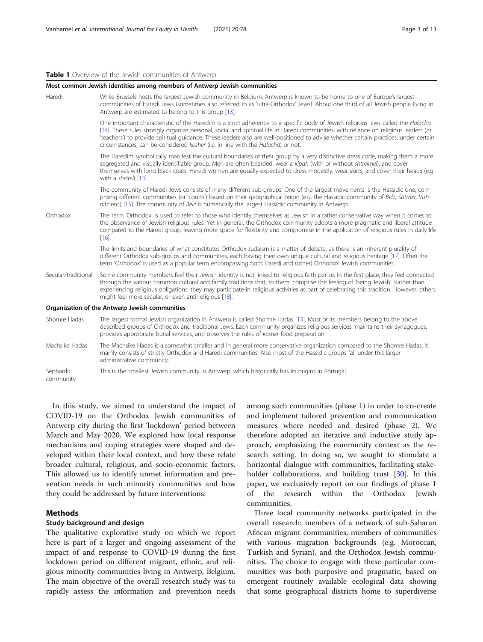#### <span id="page-2-0"></span>Table 1 Overview of the Jewish communities of Antwerp

|                        | Most common Jewish identities among members of Antwerp Jewish communities                                                                                                                                                                                                                                                                                                                                                                                                                            |
|------------------------|------------------------------------------------------------------------------------------------------------------------------------------------------------------------------------------------------------------------------------------------------------------------------------------------------------------------------------------------------------------------------------------------------------------------------------------------------------------------------------------------------|
| Haredi                 | While Brussels hosts the largest Jewish community in Belgium, Antwerp is known to be home to one of Europe's largest<br>communities of Haredi Jews (sometimes also referred to as 'ultra-Orthodox' Jews). About one third of all Jewish people living in<br>Antwerp are estimated to belong to this group [13].                                                                                                                                                                                      |
|                        | One important characteristic of the Haredim is a strict adherence to a specific body of Jewish religious laws called the Halacha<br>[14]. These rules strongly organize personal, social and spiritual life in Haredi communities, with reliance on religious leaders (or<br>'teachers') to provide spiritual quidance. These leaders also are well-positioned to advise whether certain practices, under certain<br>circumstances, can be considered kosher (i.e. in line with the Halacha) or not. |
|                        | The Haredim symbolically manifest the cultural boundaries of their group by a very distinctive dress code, making them a more<br>segregated and visually identifiable group. Men are often bearded, wear a kipah (with or without shtreimel), and cover<br>themselves with long black coats. Haredi women are equally expected to dress modestly, wear skirts, and cover their heads (e.g.<br>with a sheitel) [13].                                                                                  |
|                        | The community of Haredi Jews consists of many different sub-groups. One of the largest movements is the Hassidic one, com-<br>prising different communities (or 'courts') based on their geographical origin (e.g. the Hassidic community of Belz, Satmer, Vish-<br>nitz etc.) [15]. The community of Belz is numerically the largest Hassidic community in Antwerp.                                                                                                                                 |
| Orthodox               | The term 'Orthodox' is used to refer to those who identify themselves as Jewish in a rather conservative way when it comes to<br>the observance of Jewish religious rules. Yet in general, the Orthodox community adopts a more pragmatic and liberal attitude<br>compared to the Haredi group, leaving more space for flexibility and compromise in the application of religious rules in daily life<br>[16]                                                                                        |
|                        | The limits and boundaries of what constitutes Orthodox Judaism is a matter of debate, as there is an inherent plurality of<br>different Orthodox sub-groups and communities, each having their own unique cultural and religious heritage [17]. Often the<br>term 'Orthodox' is used as a popular term encompassing both Haredi and (other) Orthodox Jewish communities.                                                                                                                             |
| Secular/traditional    | Some community members feel their Jewish identity is not linked to religious faith per se. In the first place, they feel connected<br>through the various common cultural and family traditions that, to them, comprise the feeling of 'being Jewish'. Rather than<br>experiencing religious obligations, they may participate in religious activities as part of celebrating this tradition. However, others<br>might feel more secular, or even anti-religious [18].                               |
|                        | Organization of the Antwerp Jewish communities                                                                                                                                                                                                                                                                                                                                                                                                                                                       |
| Shomre Hadas           | The largest formal Jewish organization in Antwerp is called Shomre Hadas [13]. Most of its members belong to the above<br>described groups of Orthodox and traditional Jews. Each community organizes religious services, maintains their synagogues,<br>provides appropriate burial services, and observes the rules of kosher food preparation.                                                                                                                                                    |
| Machsike Hadas         | The Machsike Hadas is a somewhat smaller and in general more conservative organization compared to the Shomre Hadas. It<br>mainly consists of strictly Orthodox and Haredi communities. Also most of the Hassidic groups fall under this larger<br>administrative community.                                                                                                                                                                                                                         |
| Sephardic<br>community | This is the smallest Jewish community in Antwerp, which historically has its origins in Portugal.                                                                                                                                                                                                                                                                                                                                                                                                    |

In this study, we aimed to understand the impact of COVID-19 on the Orthodox Jewish communities of Antwerp city during the first 'lockdown' period between March and May 2020. We explored how local response mechanisms and coping strategies were shaped and developed within their local context, and how these relate broader cultural, religious, and socio-economic factors. This allowed us to identify unmet information and prevention needs in such minority communities and how they could be addressed by future interventions.

# Methods

# Study background and design

The qualitative explorative study on which we report here is part of a larger and ongoing assessment of the impact of and response to COVID-19 during the first lockdown period on different migrant, ethnic, and religious minority communities living in Antwerp, Belgium. The main objective of the overall research study was to rapidly assess the information and prevention needs among such communities (phase 1) in order to co-create and implement tailored prevention and communication measures where needed and desired (phase 2). We therefore adopted an iterative and inductive study approach, emphasizing the community context as the research setting. In doing so, we sought to stimulate a horizontal dialogue with communities, facilitating stakeholder collaborations, and building trust [[30\]](#page-12-0). In this paper, we exclusively report on our findings of phase 1 of the research within the Orthodox Jewish communities.

Three local community networks participated in the overall research: members of a network of sub-Saharan African migrant communities, members of communities with various migration backgrounds (e.g. Moroccan, Turkish and Syrian), and the Orthodox Jewish communities. The choice to engage with these particular communities was both purposive and pragmatic, based on emergent routinely available ecological data showing that some geographical districts home to superdiverse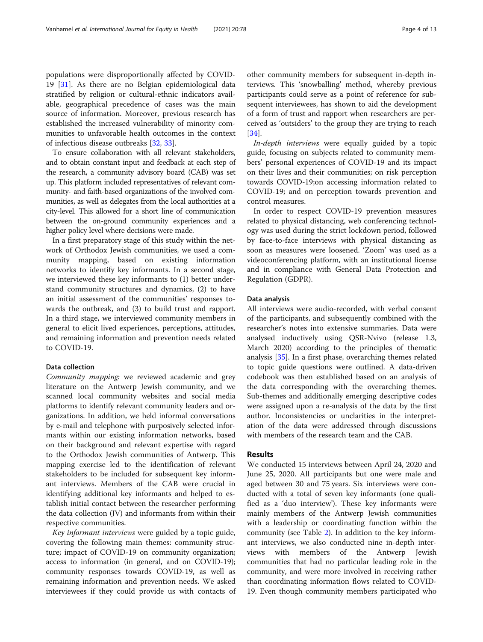populations were disproportionally affected by COVID-19 [[31\]](#page-12-0). As there are no Belgian epidemiological data stratified by religion or cultural-ethnic indicators available, geographical precedence of cases was the main source of information. Moreover, previous research has established the increased vulnerability of minority communities to unfavorable health outcomes in the context of infectious disease outbreaks [[32](#page-12-0), [33](#page-12-0)].

To ensure collaboration with all relevant stakeholders, and to obtain constant input and feedback at each step of the research, a community advisory board (CAB) was set up. This platform included representatives of relevant community- and faith-based organizations of the involved communities, as well as delegates from the local authorities at a city-level. This allowed for a short line of communication between the on-ground community experiences and a higher policy level where decisions were made.

In a first preparatory stage of this study within the network of Orthodox Jewish communities, we used a community mapping, based on existing information networks to identify key informants. In a second stage, we interviewed these key informants to (1) better understand community structures and dynamics, (2) to have an initial assessment of the communities' responses towards the outbreak, and (3) to build trust and rapport. In a third stage, we interviewed community members in general to elicit lived experiences, perceptions, attitudes, and remaining information and prevention needs related to COVID-19.

# Data collection

Community mapping: we reviewed academic and grey literature on the Antwerp Jewish community, and we scanned local community websites and social media platforms to identify relevant community leaders and organizations. In addition, we held informal conversations by e-mail and telephone with purposively selected informants within our existing information networks, based on their background and relevant expertise with regard to the Orthodox Jewish communities of Antwerp. This mapping exercise led to the identification of relevant stakeholders to be included for subsequent key informant interviews. Members of the CAB were crucial in identifying additional key informants and helped to establish initial contact between the researcher performing the data collection (JV) and informants from within their respective communities.

Key informant interviews were guided by a topic guide, covering the following main themes: community structure; impact of COVID-19 on community organization; access to information (in general, and on COVID-19); community responses towards COVID-19, as well as remaining information and prevention needs. We asked interviewees if they could provide us with contacts of

other community members for subsequent in-depth interviews. This 'snowballing' method, whereby previous participants could serve as a point of reference for subsequent interviewees, has shown to aid the development of a form of trust and rapport when researchers are perceived as 'outsiders' to the group they are trying to reach [[34\]](#page-12-0).

In-depth interviews were equally guided by a topic guide, focusing on subjects related to community members' personal experiences of COVID-19 and its impact on their lives and their communities; on risk perception towards COVID-19;on accessing information related to COVID-19; and on perception towards prevention and control measures.

In order to respect COVID-19 prevention measures related to physical distancing, web conferencing technology was used during the strict lockdown period, followed by face-to-face interviews with physical distancing as soon as measures were loosened. 'Zoom' was used as a videoconferencing platform, with an institutional license and in compliance with General Data Protection and Regulation (GDPR).

#### Data analysis

All interviews were audio-recorded, with verbal consent of the participants, and subsequently combined with the researcher's notes into extensive summaries. Data were analysed inductively using QSR-Nvivo (release 1.3, March 2020) according to the principles of thematic analysis [\[35](#page-12-0)]. In a first phase, overarching themes related to topic guide questions were outlined. A data-driven codebook was then established based on an analysis of the data corresponding with the overarching themes. Sub-themes and additionally emerging descriptive codes were assigned upon a re-analysis of the data by the first author. Inconsistencies or unclarities in the interpretation of the data were addressed through discussions with members of the research team and the CAB.

# Results

We conducted 15 interviews between April 24, 2020 and June 25, 2020. All participants but one were male and aged between 30 and 75 years. Six interviews were conducted with a total of seven key informants (one qualified as a 'duo interview'). These key informants were mainly members of the Antwerp Jewish communities with a leadership or coordinating function within the community (see Table [2\)](#page-4-0). In addition to the key informant interviews, we also conducted nine in-depth interviews with members of the Antwerp Jewish communities that had no particular leading role in the community, and were more involved in receiving rather than coordinating information flows related to COVID-19. Even though community members participated who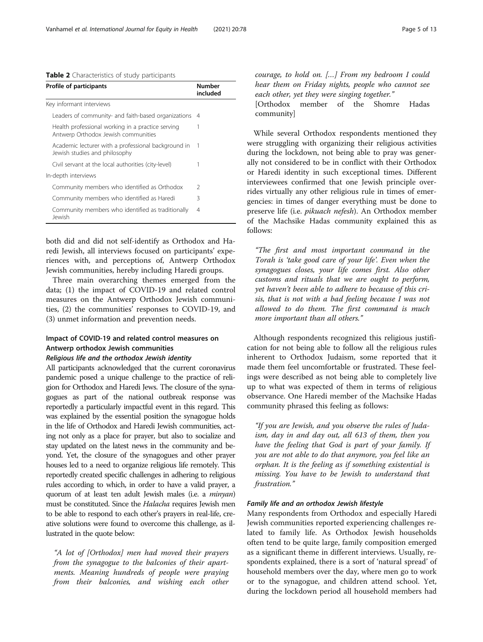# <span id="page-4-0"></span>Table 2 Characteristics of study participants

| Profile of participants                                                                  | Number<br>included |
|------------------------------------------------------------------------------------------|--------------------|
| Key informant interviews                                                                 |                    |
| Leaders of community- and faith-based organizations                                      | 4                  |
| Health professional working in a practice serving<br>Antwerp Orthodox Jewish communities | 1                  |
| Academic lecturer with a professional background in<br>Jewish studies and philosophy     | 1                  |
| Civil servant at the local authorities (city-level)                                      | 1                  |
| In-depth interviews                                                                      |                    |
| Community members who identified as Orthodox                                             | $\mathcal{L}$      |
| Community members who identified as Haredi                                               | ζ                  |
| Community members who identified as traditionally<br>Jewish                              | 4                  |

both did and did not self-identify as Orthodox and Haredi Jewish, all interviews focused on participants' experiences with, and perceptions of, Antwerp Orthodox Jewish communities, hereby including Haredi groups.

Three main overarching themes emerged from the data; (1) the impact of COVID-19 and related control measures on the Antwerp Orthodox Jewish communities, (2) the communities' responses to COVID-19, and (3) unmet information and prevention needs.

# Impact of COVID-19 and related control measures on Antwerp orthodox Jewish communities

# Religious life and the orthodox Jewish identity

All participants acknowledged that the current coronavirus pandemic posed a unique challenge to the practice of religion for Orthodox and Haredi Jews. The closure of the synagogues as part of the national outbreak response was reportedly a particularly impactful event in this regard. This was explained by the essential position the synagogue holds in the life of Orthodox and Haredi Jewish communities, acting not only as a place for prayer, but also to socialize and stay updated on the latest news in the community and beyond. Yet, the closure of the synagogues and other prayer houses led to a need to organize religious life remotely. This reportedly created specific challenges in adhering to religious rules according to which, in order to have a valid prayer, a quorum of at least ten adult Jewish males (i.e. a minyan) must be constituted. Since the Halacha requires Jewish men to be able to respond to each other's prayers in real-life, creative solutions were found to overcome this challenge, as illustrated in the quote below:

"A lot of [Orthodox] men had moved their prayers from the synagogue to the balconies of their apartments. Meaning hundreds of people were praying from their balconies, and wishing each other

courage, to hold on. […] From my bedroom I could hear them on Friday nights, people who cannot see each other, yet they were singing together."

[Orthodox member of the Shomre Hadas community]

While several Orthodox respondents mentioned they were struggling with organizing their religious activities during the lockdown, not being able to pray was generally not considered to be in conflict with their Orthodox or Haredi identity in such exceptional times. Different interviewees confirmed that one Jewish principle overrides virtually any other religious rule in times of emergencies: in times of danger everything must be done to preserve life (i.e. pikuach nefesh). An Orthodox member of the Machsike Hadas community explained this as follows:

"The first and most important command in the Torah is 'take good care of your life'. Even when the synagogues closes, your life comes first. Also other customs and rituals that we are ought to perform, yet haven't been able to adhere to because of this crisis, that is not with a bad feeling because I was not allowed to do them. The first command is much more important than all others."

Although respondents recognized this religious justification for not being able to follow all the religious rules inherent to Orthodox Judaism, some reported that it made them feel uncomfortable or frustrated. These feelings were described as not being able to completely live up to what was expected of them in terms of religious observance. One Haredi member of the Machsike Hadas community phrased this feeling as follows:

"If you are Jewish, and you observe the rules of Judaism, day in and day out, all 613 of them, then you have the feeling that God is part of your family. If you are not able to do that anymore, you feel like an orphan. It is the feeling as if something existential is missing. You have to be Jewish to understand that frustration."

# Family life and an orthodox Jewish lifestyle

Many respondents from Orthodox and especially Haredi Jewish communities reported experiencing challenges related to family life. As Orthodox Jewish households often tend to be quite large, family composition emerged as a significant theme in different interviews. Usually, respondents explained, there is a sort of 'natural spread' of household members over the day, where men go to work or to the synagogue, and children attend school. Yet, during the lockdown period all household members had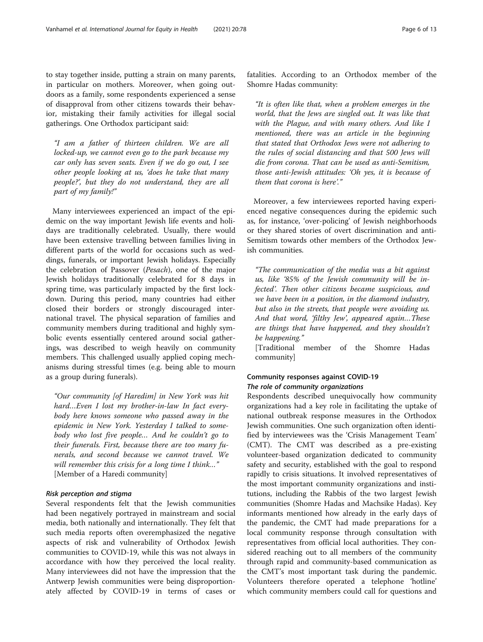to stay together inside, putting a strain on many parents, in particular on mothers. Moreover, when going outdoors as a family, some respondents experienced a sense of disapproval from other citizens towards their behavior, mistaking their family activities for illegal social gatherings. One Orthodox participant said:

"I am a father of thirteen children. We are all locked-up, we cannot even go to the park because my car only has seven seats. Even if we do go out, I see other people looking at us, 'does he take that many people?', but they do not understand, they are all part of my family!"

Many interviewees experienced an impact of the epidemic on the way important Jewish life events and holidays are traditionally celebrated. Usually, there would have been extensive travelling between families living in different parts of the world for occasions such as weddings, funerals, or important Jewish holidays. Especially the celebration of Passover (Pesach), one of the major Jewish holidays traditionally celebrated for 8 days in spring time, was particularly impacted by the first lockdown. During this period, many countries had either closed their borders or strongly discouraged international travel. The physical separation of families and community members during traditional and highly symbolic events essentially centered around social gatherings, was described to weigh heavily on community members. This challenged usually applied coping mechanisms during stressful times (e.g. being able to mourn as a group during funerals).

"Our community [of Haredim] in New York was hit hard…Even I lost my brother-in-law In fact everybody here knows someone who passed away in the epidemic in New York. Yesterday I talked to somebody who lost five people… And he couldn't go to their funerals. First, because there are too many funerals, and second because we cannot travel. We will remember this crisis for a long time I think..." [Member of a Haredi community]

# Risk perception and stigma

Several respondents felt that the Jewish communities had been negatively portrayed in mainstream and social media, both nationally and internationally. They felt that such media reports often overemphasized the negative aspects of risk and vulnerability of Orthodox Jewish communities to COVID-19, while this was not always in accordance with how they perceived the local reality. Many interviewees did not have the impression that the Antwerp Jewish communities were being disproportionately affected by COVID-19 in terms of cases or

fatalities. According to an Orthodox member of the Shomre Hadas community:

"It is often like that, when a problem emerges in the world, that the Jews are singled out. It was like that with the Plague, and with many others. And like I mentioned, there was an article in the beginning that stated that Orthodox Jews were not adhering to the rules of social distancing and that 500 Jews will die from corona. That can be used as anti-Semitism, those anti-Jewish attitudes: 'Oh yes, it is because of them that corona is here'."

Moreover, a few interviewees reported having experienced negative consequences during the epidemic such as, for instance, 'over-policing' of Jewish neighborhoods or they shared stories of overt discrimination and anti-Semitism towards other members of the Orthodox Jewish communities.

"The communication of the media was a bit against us, like '85% of the Jewish community will be infected'. Then other citizens became suspicious, and we have been in a position, in the diamond industry, but also in the streets, that people were avoiding us. And that word, 'filthy Jew', appeared again…These are things that have happened, and they shouldn't be happening."

[Traditional member of the Shomre Hadas community]

# Community responses against COVID-19 The role of community organizations

Respondents described unequivocally how community organizations had a key role in facilitating the uptake of national outbreak response measures in the Orthodox Jewish communities. One such organization often identified by interviewees was the 'Crisis Management Team' (CMT). The CMT was described as a pre-existing volunteer-based organization dedicated to community safety and security, established with the goal to respond rapidly to crisis situations. It involved representatives of the most important community organizations and institutions, including the Rabbis of the two largest Jewish communities (Shomre Hadas and Machsike Hadas). Key informants mentioned how already in the early days of the pandemic, the CMT had made preparations for a local community response through consultation with representatives from official local authorities. They considered reaching out to all members of the community through rapid and community-based communication as the CMT's most important task during the pandemic. Volunteers therefore operated a telephone 'hotline' which community members could call for questions and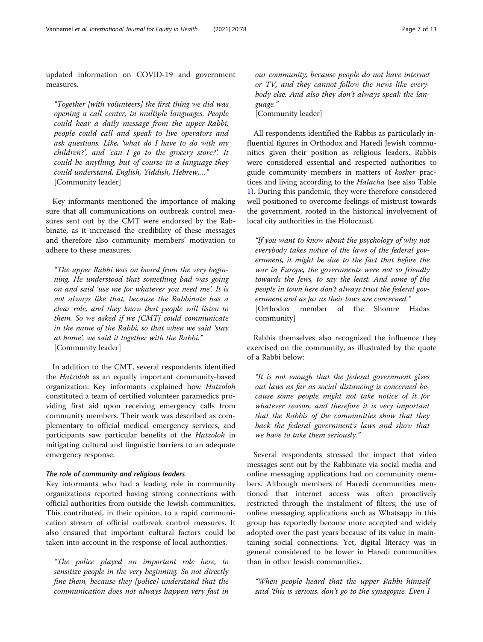updated information on COVID-19 and government measures.

"Together [with volunteers] the first thing we did was opening a call center, in multiple languages. People could hear a daily message from the upper-Rabbi, people could call and speak to live operators and ask questions. Like, 'what do I have to do with my children?', and 'can I go to the grocery store?'. It could be anything, but of course in a language they could understand, English, Yiddish, Hebrew,…" [Community leader]

Key informants mentioned the importance of making sure that all communications on outbreak control measures sent out by the CMT were endorsed by the Rabbinate, as it increased the credibility of these messages and therefore also community members' motivation to adhere to these measures.

"The upper Rabbi was on board from the very beginning. He understood that something bad was going on and said 'use me for whatever you need me'. It is not always like that, because the Rabbinate has a clear role, and they know that people will listen to them. So we asked if we [CMT] could communicate in the name of the Rabbi, so that when we said 'stay at home', we said it together with the Rabbi." [Community leader]

In addition to the CMT, several respondents identified the Hatzoloh as an equally important community-based organization. Key informants explained how Hatzoloh constituted a team of certified volunteer paramedics providing first aid upon receiving emergency calls from community members. Their work was described as complementary to official medical emergency services, and participants saw particular benefits of the Hatzoloh in mitigating cultural and linguistic barriers to an adequate emergency response.

#### The role of community and religious leaders

Key informants who had a leading role in community organizations reported having strong connections with official authorities from outside the Jewish communities. This contributed, in their opinion, to a rapid communication stream of official outbreak control measures. It also ensured that important cultural factors could be taken into account in the response of local authorities.

"The police played an important role here, to sensitize people in the very beginning. So not directly fine them, because they [police] understand that the communication does not always happen very fast in

our community, because people do not have internet or TV, and they cannot follow the news like everybody else. And also they don't always speak the language."

[Community leader]

All respondents identified the Rabbis as particularly influential figures in Orthodox and Haredi Jewish communities given their position as religious leaders. Rabbis were considered essential and respected authorities to guide community members in matters of kosher practices and living according to the Halacha (see also Table [1\)](#page-2-0). During this pandemic, they were therefore considered well positioned to overcome feelings of mistrust towards the government, rooted in the historical involvement of local city authorities in the Holocaust.

"If you want to know about the psychology of why not everybody takes notice of the laws of the federal government, it might be due to the fact that before the war in Europe, the governments were not so friendly towards the Jews, to say the least. And some of the people in town here don't always trust the federal government and as far as their laws are concerned." [Orthodox member of the Shomre Hadas community]

Rabbis themselves also recognized the influence they exercised on the community, as illustrated by the quote of a Rabbi below:

"It is not enough that the federal government gives out laws as far as social distancing is concerned because some people might not take notice of it for whatever reason, and therefore it is very important that the Rabbis of the communities show that they back the federal government's laws and show that we have to take them seriously."

Several respondents stressed the impact that video messages sent out by the Rabbinate via social media and online messaging applications had on community members. Although members of Haredi communities mentioned that internet access was often proactively restricted through the instalment of filters, the use of online messaging applications such as Whatsapp in this group has reportedly become more accepted and widely adopted over the past years because of its value in maintaining social connections. Yet, digital literacy was in general considered to be lower in Haredi communities than in other Jewish communities.

"When people heard that the upper Rabbi himself said 'this is serious, don't go to the synagogue. Even I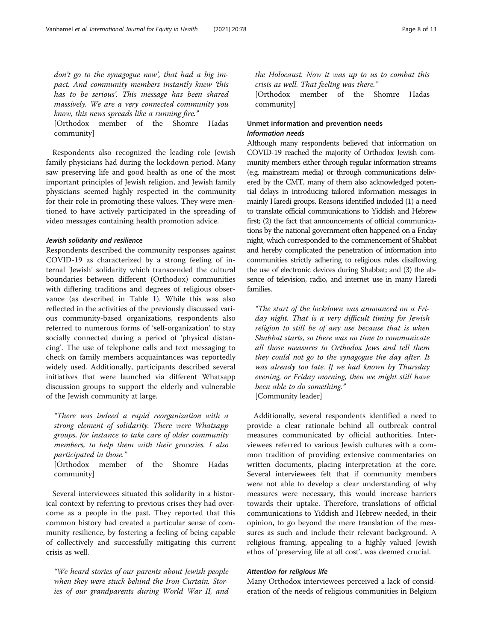don't go to the synagogue now', that had a big impact. And community members instantly knew 'this has to be serious'. This message has been shared massively. We are a very connected community you know, this news spreads like a running fire."

[Orthodox member of the Shomre Hadas community]

Respondents also recognized the leading role Jewish family physicians had during the lockdown period. Many saw preserving life and good health as one of the most important principles of Jewish religion, and Jewish family physicians seemed highly respected in the community for their role in promoting these values. They were mentioned to have actively participated in the spreading of video messages containing health promotion advice.

### Jewish solidarity and resilience

Respondents described the community responses against COVID-19 as characterized by a strong feeling of internal 'Jewish' solidarity which transcended the cultural boundaries between different (Orthodox) communities with differing traditions and degrees of religious observance (as described in Table [1\)](#page-2-0). While this was also reflected in the activities of the previously discussed various community-based organizations, respondents also referred to numerous forms of 'self-organization' to stay socially connected during a period of 'physical distancing'. The use of telephone calls and text messaging to check on family members acquaintances was reportedly widely used. Additionally, participants described several initiatives that were launched via different Whatsapp discussion groups to support the elderly and vulnerable of the Jewish community at large.

"There was indeed a rapid reorganization with a strong element of solidarity. There were Whatsapp groups, for instance to take care of older community members, to help them with their groceries. I also participated in those."

[Orthodox member of the Shomre Hadas community]

Several interviewees situated this solidarity in a historical context by referring to previous crises they had overcome as a people in the past. They reported that this common history had created a particular sense of community resilience, by fostering a feeling of being capable of collectively and successfully mitigating this current crisis as well.

"We heard stories of our parents about Jewish people when they were stuck behind the Iron Curtain. Stories of our grandparents during World War II, and the Holocaust. Now it was up to us to combat this crisis as well. That feeling was there."

[Orthodox member of the Shomre Hadas community]

# Unmet information and prevention needs Information needs

Although many respondents believed that information on COVID-19 reached the majority of Orthodox Jewish community members either through regular information streams (e.g. mainstream media) or through communications delivered by the CMT, many of them also acknowledged potential delays in introducing tailored information messages in mainly Haredi groups. Reasons identified included (1) a need to translate official communications to Yiddish and Hebrew first; (2) the fact that announcements of official communications by the national government often happened on a Friday night, which corresponded to the commencement of Shabbat and hereby complicated the penetration of information into communities strictly adhering to religious rules disallowing the use of electronic devices during Shabbat; and (3) the absence of television, radio, and internet use in many Haredi families.

"The start of the lockdown was announced on a Friday night. That is a very difficult timing for Jewish religion to still be of any use because that is when Shabbat starts, so there was no time to communicate all those measures to Orthodox Jews and tell them they could not go to the synagogue the day after. It was already too late. If we had known by Thursday evening, or Friday morning, then we might still have been able to do something." [Community leader]

Additionally, several respondents identified a need to provide a clear rationale behind all outbreak control measures communicated by official authorities. Interviewees referred to various Jewish cultures with a common tradition of providing extensive commentaries on written documents, placing interpretation at the core. Several interviewees felt that if community members were not able to develop a clear understanding of why measures were necessary, this would increase barriers towards their uptake. Therefore, translations of official communications to Yiddish and Hebrew needed, in their opinion, to go beyond the mere translation of the measures as such and include their relevant background. A religious framing, appealing to a highly valued Jewish ethos of 'preserving life at all cost', was deemed crucial.

## Attention for religious life

Many Orthodox interviewees perceived a lack of consideration of the needs of religious communities in Belgium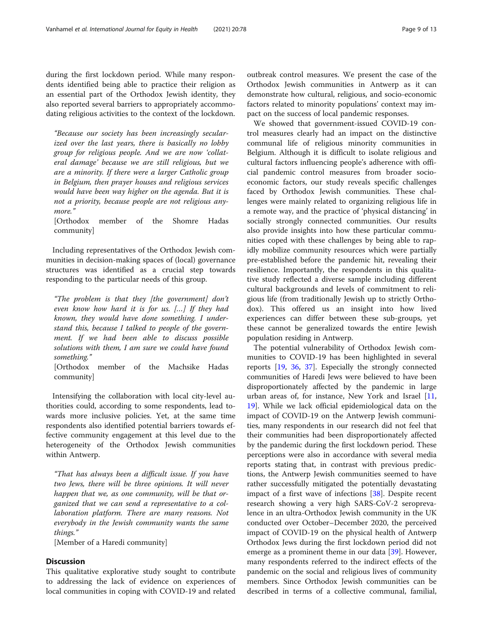during the first lockdown period. While many respondents identified being able to practice their religion as an essential part of the Orthodox Jewish identity, they also reported several barriers to appropriately accommodating religious activities to the context of the lockdown.

"Because our society has been increasingly secularized over the last years, there is basically no lobby group for religious people. And we are now 'collateral damage' because we are still religious, but we are a minority. If there were a larger Catholic group in Belgium, then prayer houses and religious services would have been way higher on the agenda. But it is not a priority, because people are not religious anymore."

[Orthodox member of the Shomre Hadas community]

Including representatives of the Orthodox Jewish communities in decision-making spaces of (local) governance structures was identified as a crucial step towards responding to the particular needs of this group.

"The problem is that they [the government] don't even know how hard it is for us. […] If they had known, they would have done something. I understand this, because I talked to people of the government. If we had been able to discuss possible solutions with them, I am sure we could have found something."

[Orthodox member of the Machsike Hadas community]

Intensifying the collaboration with local city-level authorities could, according to some respondents, lead towards more inclusive policies. Yet, at the same time respondents also identified potential barriers towards effective community engagement at this level due to the heterogeneity of the Orthodox Jewish communities within Antwerp.

"That has always been a difficult issue. If you have two Jews, there will be three opinions. It will never happen that we, as one community, will be that organized that we can send a representative to a collaboration platform. There are many reasons. Not everybody in the Jewish community wants the same things."

[Member of a Haredi community]

# **Discussion**

This qualitative explorative study sought to contribute to addressing the lack of evidence on experiences of local communities in coping with COVID-19 and related outbreak control measures. We present the case of the Orthodox Jewish communities in Antwerp as it can demonstrate how cultural, religious, and socio-economic factors related to minority populations' context may impact on the success of local pandemic responses.

We showed that government-issued COVID-19 control measures clearly had an impact on the distinctive communal life of religious minority communities in Belgium. Although it is difficult to isolate religious and cultural factors influencing people's adherence with official pandemic control measures from broader socioeconomic factors, our study reveals specific challenges faced by Orthodox Jewish communities. These challenges were mainly related to organizing religious life in a remote way, and the practice of 'physical distancing' in socially strongly connected communities. Our results also provide insights into how these particular communities coped with these challenges by being able to rapidly mobilize community resources which were partially pre-established before the pandemic hit, revealing their resilience. Importantly, the respondents in this qualitative study reflected a diverse sample including different cultural backgrounds and levels of commitment to religious life (from traditionally Jewish up to strictly Orthodox). This offered us an insight into how lived experiences can differ between these sub-groups, yet these cannot be generalized towards the entire Jewish population residing in Antwerp.

The potential vulnerability of Orthodox Jewish communities to COVID-19 has been highlighted in several reports [[19,](#page-11-0) [36,](#page-12-0) [37\]](#page-12-0). Especially the strongly connected communities of Haredi Jews were believed to have been disproportionately affected by the pandemic in large urban areas of, for instance, New York and Israel [[11](#page-11-0), [19\]](#page-11-0). While we lack official epidemiological data on the impact of COVID-19 on the Antwerp Jewish communities, many respondents in our research did not feel that their communities had been disproportionately affected by the pandemic during the first lockdown period. These perceptions were also in accordance with several media reports stating that, in contrast with previous predictions, the Antwerp Jewish communities seemed to have rather successfully mitigated the potentially devastating impact of a first wave of infections [\[38](#page-12-0)]. Despite recent research showing a very high SARS-CoV-2 seroprevalence in an ultra-Orthodox Jewish community in the UK conducted over October–December 2020, the perceived impact of COVID-19 on the physical health of Antwerp Orthodox Jews during the first lockdown period did not emerge as a prominent theme in our data [[39\]](#page-12-0). However, many respondents referred to the indirect effects of the pandemic on the social and religious lives of community members. Since Orthodox Jewish communities can be described in terms of a collective communal, familial,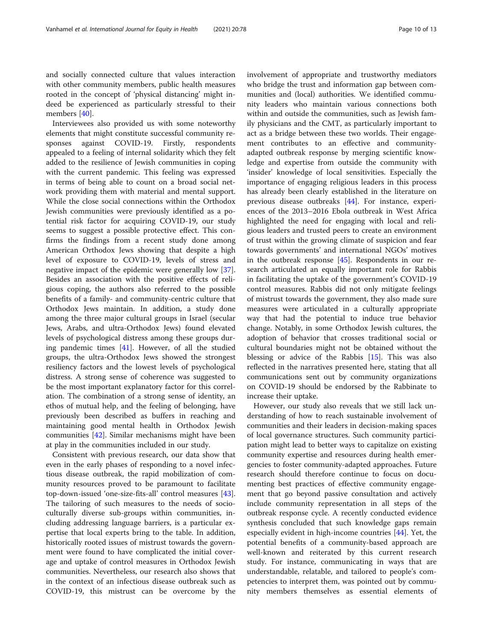and socially connected culture that values interaction with other community members, public health measures rooted in the concept of 'physical distancing' might indeed be experienced as particularly stressful to their members [[40](#page-12-0)].

Interviewees also provided us with some noteworthy elements that might constitute successful community responses against COVID-19. Firstly, respondents appealed to a feeling of internal solidarity which they felt added to the resilience of Jewish communities in coping with the current pandemic. This feeling was expressed in terms of being able to count on a broad social network providing them with material and mental support. While the close social connections within the Orthodox Jewish communities were previously identified as a potential risk factor for acquiring COVID-19, our study seems to suggest a possible protective effect. This confirms the findings from a recent study done among American Orthodox Jews showing that despite a high level of exposure to COVID-19, levels of stress and negative impact of the epidemic were generally low [\[37](#page-12-0)]. Besides an association with the positive effects of religious coping, the authors also referred to the possible benefits of a family- and community-centric culture that Orthodox Jews maintain. In addition, a study done among the three major cultural groups in Israel (secular Jews, Arabs, and ultra-Orthodox Jews) found elevated levels of psychological distress among these groups during pandemic times [\[41](#page-12-0)]. However, of all the studied groups, the ultra-Orthodox Jews showed the strongest resiliency factors and the lowest levels of psychological distress. A strong sense of coherence was suggested to be the most important explanatory factor for this correlation. The combination of a strong sense of identity, an ethos of mutual help, and the feeling of belonging, have previously been described as buffers in reaching and maintaining good mental health in Orthodox Jewish communities [[42](#page-12-0)]. Similar mechanisms might have been at play in the communities included in our study.

Consistent with previous research, our data show that even in the early phases of responding to a novel infectious disease outbreak, the rapid mobilization of community resources proved to be paramount to facilitate top-down-issued 'one-size-fits-all' control measures [\[43](#page-12-0)]. The tailoring of such measures to the needs of socioculturally diverse sub-groups within communities, including addressing language barriers, is a particular expertise that local experts bring to the table. In addition, historically rooted issues of mistrust towards the government were found to have complicated the initial coverage and uptake of control measures in Orthodox Jewish communities. Nevertheless, our research also shows that in the context of an infectious disease outbreak such as COVID-19, this mistrust can be overcome by the involvement of appropriate and trustworthy mediators who bridge the trust and information gap between communities and (local) authorities. We identified community leaders who maintain various connections both within and outside the communities, such as Jewish family physicians and the CMT, as particularly important to act as a bridge between these two worlds. Their engagement contributes to an effective and communityadapted outbreak response by merging scientific knowledge and expertise from outside the community with 'insider' knowledge of local sensitivities. Especially the importance of engaging religious leaders in this process has already been clearly established in the literature on previous disease outbreaks [\[44\]](#page-12-0). For instance, experiences of the 2013–2016 Ebola outbreak in West Africa highlighted the need for engaging with local and religious leaders and trusted peers to create an environment of trust within the growing climate of suspicion and fear towards governments' and international NGOs' motives in the outbreak response [\[45\]](#page-12-0). Respondents in our research articulated an equally important role for Rabbis in facilitating the uptake of the government's COVID-19 control measures. Rabbis did not only mitigate feelings of mistrust towards the government, they also made sure measures were articulated in a culturally appropriate way that had the potential to induce true behavior change. Notably, in some Orthodox Jewish cultures, the adoption of behavior that crosses traditional social or cultural boundaries might not be obtained without the blessing or advice of the Rabbis [[15\]](#page-11-0). This was also reflected in the narratives presented here, stating that all communications sent out by community organizations on COVID-19 should be endorsed by the Rabbinate to increase their uptake.

However, our study also reveals that we still lack understanding of how to reach sustainable involvement of communities and their leaders in decision-making spaces of local governance structures. Such community participation might lead to better ways to capitalize on existing community expertise and resources during health emergencies to foster community-adapted approaches. Future research should therefore continue to focus on documenting best practices of effective community engagement that go beyond passive consultation and actively include community representation in all steps of the outbreak response cycle. A recently conducted evidence synthesis concluded that such knowledge gaps remain especially evident in high-income countries [[44\]](#page-12-0). Yet, the potential benefits of a community-based approach are well-known and reiterated by this current research study. For instance, communicating in ways that are understandable, relatable, and tailored to people's competencies to interpret them, was pointed out by community members themselves as essential elements of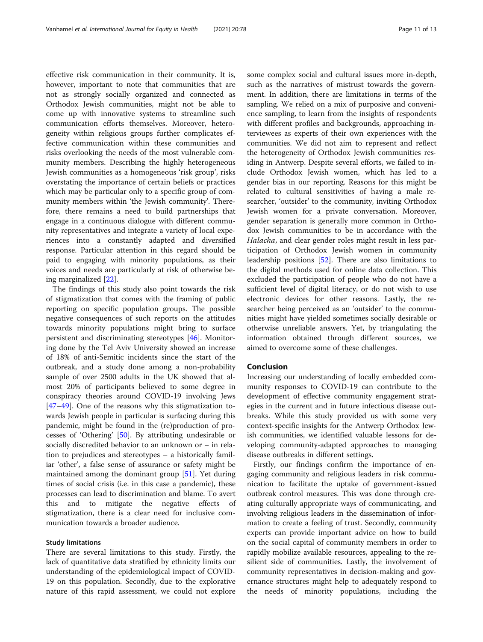effective risk communication in their community. It is, however, important to note that communities that are not as strongly socially organized and connected as Orthodox Jewish communities, might not be able to come up with innovative systems to streamline such communication efforts themselves. Moreover, heterogeneity within religious groups further complicates effective communication within these communities and risks overlooking the needs of the most vulnerable community members. Describing the highly heterogeneous Jewish communities as a homogeneous 'risk group', risks overstating the importance of certain beliefs or practices which may be particular only to a specific group of community members within 'the Jewish community'. Therefore, there remains a need to build partnerships that engage in a continuous dialogue with different community representatives and integrate a variety of local experiences into a constantly adapted and diversified response. Particular attention in this regard should be paid to engaging with minority populations, as their voices and needs are particularly at risk of otherwise being marginalized [[22\]](#page-11-0).

The findings of this study also point towards the risk of stigmatization that comes with the framing of public reporting on specific population groups. The possible negative consequences of such reports on the attitudes towards minority populations might bring to surface persistent and discriminating stereotypes [[46\]](#page-12-0). Monitoring done by the Tel Aviv University showed an increase of 18% of anti-Semitic incidents since the start of the outbreak, and a study done among a non-probability sample of over 2500 adults in the UK showed that almost 20% of participants believed to some degree in conspiracy theories around COVID-19 involving Jews [[47](#page-12-0)–[49](#page-12-0)]. One of the reasons why this stigmatization towards Jewish people in particular is surfacing during this pandemic, might be found in the (re)production of processes of 'Othering' [\[50](#page-12-0)]. By attributing undesirable or socially discredited behavior to an unknown or – in relation to prejudices and stereotypes – a historically familiar 'other', a false sense of assurance or safety might be maintained among the dominant group [[51](#page-12-0)]. Yet during times of social crisis (i.e. in this case a pandemic), these processes can lead to discrimination and blame. To avert this and to mitigate the negative effects of stigmatization, there is a clear need for inclusive communication towards a broader audience.

#### Study limitations

There are several limitations to this study. Firstly, the lack of quantitative data stratified by ethnicity limits our understanding of the epidemiological impact of COVID-19 on this population. Secondly, due to the explorative nature of this rapid assessment, we could not explore some complex social and cultural issues more in-depth, such as the narratives of mistrust towards the government. In addition, there are limitations in terms of the sampling. We relied on a mix of purposive and convenience sampling, to learn from the insights of respondents with different profiles and backgrounds, approaching interviewees as experts of their own experiences with the communities. We did not aim to represent and reflect the heterogeneity of Orthodox Jewish communities residing in Antwerp. Despite several efforts, we failed to include Orthodox Jewish women, which has led to a gender bias in our reporting. Reasons for this might be related to cultural sensitivities of having a male researcher, 'outsider' to the community, inviting Orthodox Jewish women for a private conversation. Moreover, gender separation is generally more common in Orthodox Jewish communities to be in accordance with the Halacha, and clear gender roles might result in less participation of Orthodox Jewish women in community leadership positions [[52](#page-12-0)]. There are also limitations to the digital methods used for online data collection. This excluded the participation of people who do not have a sufficient level of digital literacy, or do not wish to use electronic devices for other reasons. Lastly, the researcher being perceived as an 'outsider' to the communities might have yielded sometimes socially desirable or otherwise unreliable answers. Yet, by triangulating the information obtained through different sources, we aimed to overcome some of these challenges.

# Conclusion

Increasing our understanding of locally embedded community responses to COVID-19 can contribute to the development of effective community engagement strategies in the current and in future infectious disease outbreaks. While this study provided us with some very context-specific insights for the Antwerp Orthodox Jewish communities, we identified valuable lessons for developing community-adapted approaches to managing disease outbreaks in different settings.

Firstly, our findings confirm the importance of engaging community and religious leaders in risk communication to facilitate the uptake of government-issued outbreak control measures. This was done through creating culturally appropriate ways of communicating, and involving religious leaders in the dissemination of information to create a feeling of trust. Secondly, community experts can provide important advice on how to build on the social capital of community members in order to rapidly mobilize available resources, appealing to the resilient side of communities. Lastly, the involvement of community representatives in decision-making and governance structures might help to adequately respond to the needs of minority populations, including the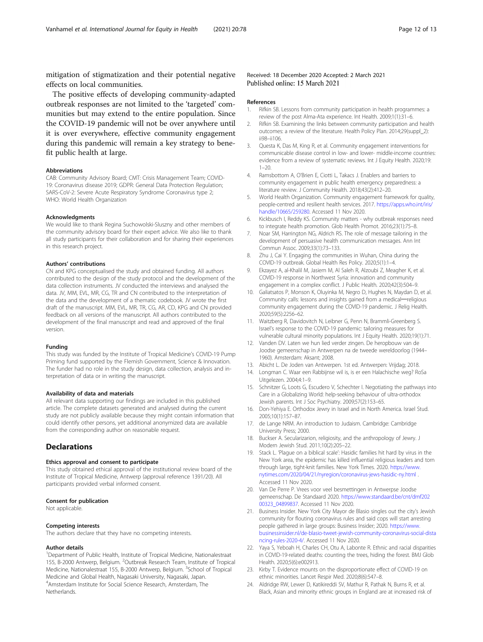<span id="page-11-0"></span>mitigation of stigmatization and their potential negative effects on local communities.

The positive effects of developing community-adapted outbreak responses are not limited to the 'targeted' communities but may extend to the entire population. Since the COVID-19 pandemic will not be over anywhere until it is over everywhere, effective community engagement during this pandemic will remain a key strategy to benefit public health at large.

#### Abbreviations

CAB: Community Advisory Board; CMT: Crisis Management Team; COVID-19: Coronavirus disease 2019; GDPR: General Data Protection Regulation; SARS-CoV-2: Severe Acute Respiratory Syndrome Coronavirus type 2; WHO: World Health Organization

#### Acknowledgments

We would like to thank Regina Suchowolski-Sluszny and other members of the community advisory board for their expert advice. We also like to thank all study participants for their collaboration and for sharing their experiences in this research project.

#### Authors' contributions

CN and KPG conceptualised the study and obtained funding. All authors contributed to the design of the study protocol and the development of the data collection instruments. JV conducted the interviews and analysed the data. JV, MM, EVL, MR, CG, TR and CN contributed to the interpretation of the data and the development of a thematic codebook. JV wrote the first draft of the manuscript. MM, EVL, MR, TR, CG, AR, CD, KPG and CN provided feedback on all versions of the manuscript. All authors contributed to the development of the final manuscript and read and approved of the final version.

#### Funding

This study was funded by the Institute of Tropical Medicine's COVID-19 Pump Priming fund supported by the Flemish Government, Science & Innovation. The funder had no role in the study design, data collection, analysis and interpretation of data or in writing the manuscript.

#### Availability of data and materials

All relevant data supporting our findings are included in this published article. The complete datasets generated and analysed during the current study are not publicly available because they might contain information that could identify other persons, yet additional anonymized data are available from the corresponding author on reasonable request.

# **Declarations**

#### Ethics approval and consent to participate

This study obtained ethical approval of the institutional review board of the Institute of Tropical Medicine, Antwerp (approval reference 1391/20). All participants provided verbal informed consent.

#### Consent for publication

Not applicable.

#### Competing interests

The authors declare that they have no competing interests.

### Author details

<sup>1</sup>Department of Public Health, Institute of Tropical Medicine, Nationalestraat 155, B-2000 Antwerp, Belgium. <sup>2</sup>Outbreak Research Team, Institute of Tropical Medicine, Nationalestraat 155, B-2000 Antwerp, Belgium. <sup>3</sup>School of Tropical Medicine and Global Health, Nagasaki University, Nagasaki, Japan. 4 Amsterdam Institute for Social Science Research, Amsterdam, The Netherlands.

#### Received: 18 December 2020 Accepted: 2 March 2021 Published online: 15 March 2021

#### References

- 1. Rifkin SB. Lessons from community participation in health programmes: a review of the post Alma-Ata experience. Int Health. 2009;1(1):31–6.
- 2. Rifkin SB. Examining the links between community participation and health outcomes: a review of the literature. Health Policy Plan. 2014;29(suppl\_2): ii98–ii106.
- 3. Questa K, Das M, King R, et al. Community engagement interventions for communicable disease control in low- and lower- middle-income countries: evidence from a review of systematic reviews. Int J Equity Health. 2020;19:  $1 - 20$
- 4. Ramsbottom A, O'Brien E, Ciotti L, Takacs J. Enablers and barriers to community engagement in public health emergency preparedness: a literature review. J Community Health. 2018;43(2):412–20.
- 5. World Health Organization. Community engagement framework for quality, people-centred and resilient health services. 2017. [https://apps.who.int/iris/](https://apps.who.int/iris/handle/10665/259280) [handle/10665/259280.](https://apps.who.int/iris/handle/10665/259280) Accessed 11 Nov 2020.
- 6. Kickbusch I, Reddy KS. Community matters why outbreak responses need to integrate health promotion. Glob Health Promot. 2016;23(1):75–8.
- 7. Noar SM, Harrington NG, Aldrich RS. The role of message tailoring in the development of persuasive health communication messages. Ann Int Commun Assoc. 2009;33(1):73–133.
- 8. Zhu J, Cai Y. Engaging the communities in Wuhan, China during the COVID-19 outbreak. Global Health Res Policy. 2020;5(1):1–4.
- 9. Ekzayez A, al-Khalil M, Jasiem M, Al Saleh R, Alzoubi Z, Meagher K, et al. COVID-19 response in Northwest Syria: innovation and community engagement in a complex conflict. J Public Health. 2020;42(3):504–9.
- 10. Galiatsatos P, Monson K, Oluyinka M, Negro D, Hughes N, Maydan D, et al. Community calls: lessons and insights gained from a medical-religious community engagement during the COVID-19 pandemic. J Relig Health. 2020;59(5):2256–62.
- 11. Waitzberg R, Davidovitch N, Leibner G, Penn N, Brammli-Greenberg S. Israel's response to the COVID-19 pandemic: tailoring measures for vulnerable cultural minority populations. Int J Equity Health. 2020;19(1):71.
- 12. Vanden DV. Laten we hun lied verder zingen. De heropbouw van de Joodse gemeenschap in Antwerpen na de tweede wereldoorlog (1944– 1960). Amsterdam: Aksant; 2008.
- 13. Abicht L. De Joden van Antwerpen. 1st ed. Antwerpen: Vrijdag; 2018.
- 14. Longman C. Waar een Rabbijnse wil is, is er een Halachische weg? RoSa Uitgelezen. 2004;4:1–9.
- 15. Schnitzer G, Loots G, Escudero V, Schechter I. Negotiating the pathways into Care in a Globalizing World: help-seeking behaviour of ultra-orthodox Jewish parents. Int J Soc Psychiatry. 2009;57(2):153–65.
- 16. Don-Yehiya E. Orthodox Jewry in Israel and in North America. Israel Stud. 2005;10(1):157–87.
- 17. de Lange NRM. An introduction to Judaism. Cambridge: Cambridge University Press; 2000.
- 18. Buckser A. Secularizarion, religiosity, and the anthropology of Jewry. J Modern Jewish Stud. 2011;10(2):205–22.
- 19. Stack L. 'Plague on a biblical scale': Hasidic families hit hard by virus in the New York area, the epidemic has killed influential religious leaders and torn through large, tight-knit families. New York Times. 2020. [https://www.](https://www.nytimes.com/2020/04/21/nyregion/coronavirus-jews-hasidic-ny.html) [nytimes.com/2020/04/21/nyregion/coronavirus-jews-hasidic-ny.html](https://www.nytimes.com/2020/04/21/nyregion/coronavirus-jews-hasidic-ny.html) . Accessed 11 Nov 2020.
- 20. Van De Perre P. Vrees voor veel besmettingen in Antwerpse Joodse gemeenschap. De Standaard 2020. [https://www.standaard.be/cnt/dmf202](https://www.standaard.be/cnt/dmf20200323_04899837) [00323\\_04899837.](https://www.standaard.be/cnt/dmf20200323_04899837) Accessed 11 Nov 2020.
- 21. Business Insider. New York City Mayor de Blasio singles out the city's Jewish community for flouting coronavirus rules and said cops will start arresting people gathered in large groups: Business Insider; 2020. [https://www.](https://www.businessinsider.nl/de-blasio-tweet-jewish-community-coronavirus-social-distancing-rules-2020-4/) [businessinsider.nl/de-blasio-tweet-jewish-community-coronavirus-social-dista](https://www.businessinsider.nl/de-blasio-tweet-jewish-community-coronavirus-social-distancing-rules-2020-4/) [ncing-rules-2020-4/.](https://www.businessinsider.nl/de-blasio-tweet-jewish-community-coronavirus-social-distancing-rules-2020-4/) Accessed 11 Nov 2020.
- 22. Yaya S, Yeboah H, Charles CH, Otu A, Labonte R. Ethnic and racial disparities in COVID-19-related deaths: counting the trees, hiding the forest. BMJ Glob Health. 2020;5(6):e002913.
- 23. Kirby T. Evidence mounts on the disproportionate effect of COVID-19 on ethnic minorities. Lancet Respir Med. 2020;8(6):547–8.
- 24. Aldridge RW, Lewer D, Katikireddi SV, Mathur R, Pathak N, Burns R, et al. Black, Asian and minority ethnic groups in England are at increased risk of